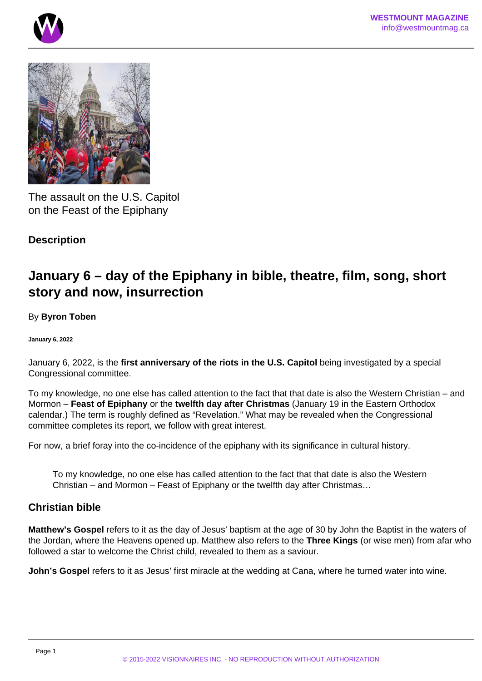



The assault on the U.S. Capitol on the Feast of the Epiphany

# **Description**

# **January 6 – day of the Epiphany in bible, theatre, film, song, short story and now, insurrection**

## By **Byron Toben**

**January 6, 2022**

January 6, 2022, is the **first anniversary of the riots in the U.S. Capitol** being investigated by a special Congressional committee.

To my knowledge, no one else has called attention to the fact that that date is also the Western Christian – and Mormon – **Feast of Epiphany** or the **twelfth day after Christmas** (January 19 in the Eastern Orthodox calendar.) The term is roughly defined as "Revelation." What may be revealed when the Congressional committee completes its report, we follow with great interest.

For now, a brief foray into the co-incidence of the epiphany with its significance in cultural history.

To my knowledge, no one else has called attention to the fact that that date is also the Western Christian – and Mormon – Feast of Epiphany or the twelfth day after Christmas…

# **Christian bible**

**Matthew's Gospel** refers to it as the day of Jesus' baptism at the age of 30 by John the Baptist in the waters of the Jordan, where the Heavens opened up. Matthew also refers to the **Three Kings** (or wise men) from afar who followed a star to welcome the Christ child, revealed to them as a saviour.

**John's Gospel** refers to it as Jesus' first miracle at the wedding at Cana, where he turned water into wine.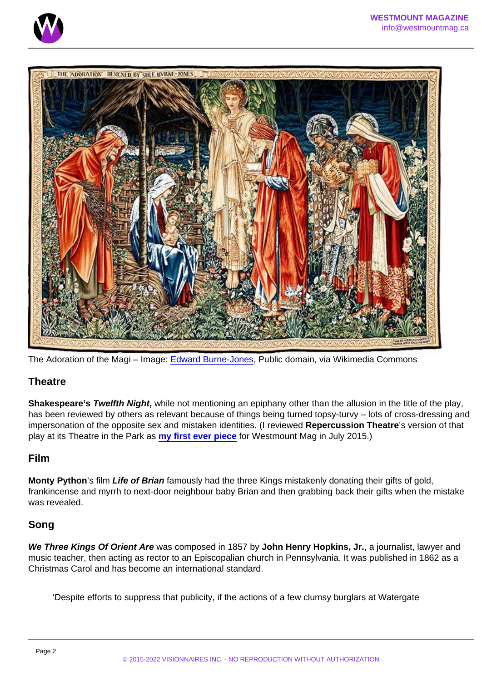The Adoration of the Magi – Image: [Edward Burne-Jones](https://commons.wikimedia.org/wiki/File:Edward_Burne-Jones_-_The_Adoration_of_the_Magi_-_Google_Art_Project.jpg), Public domain, via Wikimedia Commons

## **Theatre**

Shakespeare's Twelfth Night , while not mentioning an epiphany other than the allusion in the title of the play, has been reviewed by others as relevant because of things being turned topsy-turvy – lots of cross-dressing and impersonation of the opposite sex and mistaken identities. (I reviewed Repercussion Theatre 's version of that play at its Theatre in the Park as [my first ever piece](/) for Westmount Mag in July 2015.)

#### Film

Monty Python 's film Life of Brian famously had the three Kings mistakenly donating their gifts of gold, frankincense and myrrh to next-door neighbour baby Brian and then grabbing back their gifts when the mistake was revealed.

## Song

We Three Kings Of Orient Are was composed in 1857 by John Henry Hopkins, Jr. , a journalist, lawyer and music teacher, then acting as rector to an Episcopalian church in Pennsylvania. It was published in 1862 as a Christmas Carol and has become an international standard.

'Despite efforts to suppress that publicity, if the actions of a few clumsy burglars at Watergate